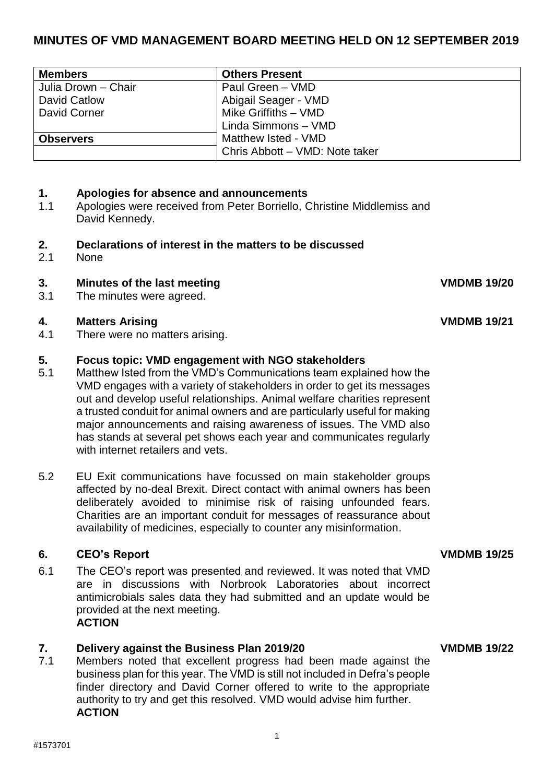# **MINUTES OF VMD MANAGEMENT BOARD MEETING HELD ON 12 SEPTEMBER 2019**

| <b>Members</b>      | <b>Others Present</b>          |
|---------------------|--------------------------------|
| Julia Drown - Chair | Paul Green - VMD               |
| David Catlow        | Abigail Seager - VMD           |
| David Corner        | Mike Griffiths - VMD           |
|                     | Linda Simmons - VMD            |
| <b>Observers</b>    | Matthew Isted - VMD            |
|                     | Chris Abbott - VMD: Note taker |

# **1. Apologies for absence and announcements**

1.1 Apologies were received from Peter Borriello, Christine Middlemiss and David Kennedy.

## **2. Declarations of interest in the matters to be discussed**

2.1 None

# **3. Minutes of the last meeting VMDMB 19/20**

3.1 The minutes were agreed.

### **4. Matters Arising VMDMB 19/21**

4.1 There were no matters arising.

### **5. Focus topic: VMD engagement with NGO stakeholders**

- 5.1 Matthew Isted from the VMD's Communications team explained how the VMD engages with a variety of stakeholders in order to get its messages out and develop useful relationships. Animal welfare charities represent a trusted conduit for animal owners and are particularly useful for making major announcements and raising awareness of issues. The VMD also has stands at several pet shows each year and communicates regularly with internet retailers and vets.
- 5.2 EU Exit communications have focussed on main stakeholder groups affected by no-deal Brexit. Direct contact with animal owners has been deliberately avoided to minimise risk of raising unfounded fears. Charities are an important conduit for messages of reassurance about availability of medicines, especially to counter any misinformation.

# **6. CEO's Report VMDMB 19/25**

6.1 The CEO's report was presented and reviewed. It was noted that VMD are in discussions with Norbrook Laboratories about incorrect antimicrobials sales data they had submitted and an update would be provided at the next meeting. **ACTION**

### **7. Delivery against the Business Plan 2019/20 VMDMB 19/22**

7.1 Members noted that excellent progress had been made against the business plan for this year. The VMD is still not included in Defra's people finder directory and David Corner offered to write to the appropriate authority to try and get this resolved. VMD would advise him further. **ACTION**

1